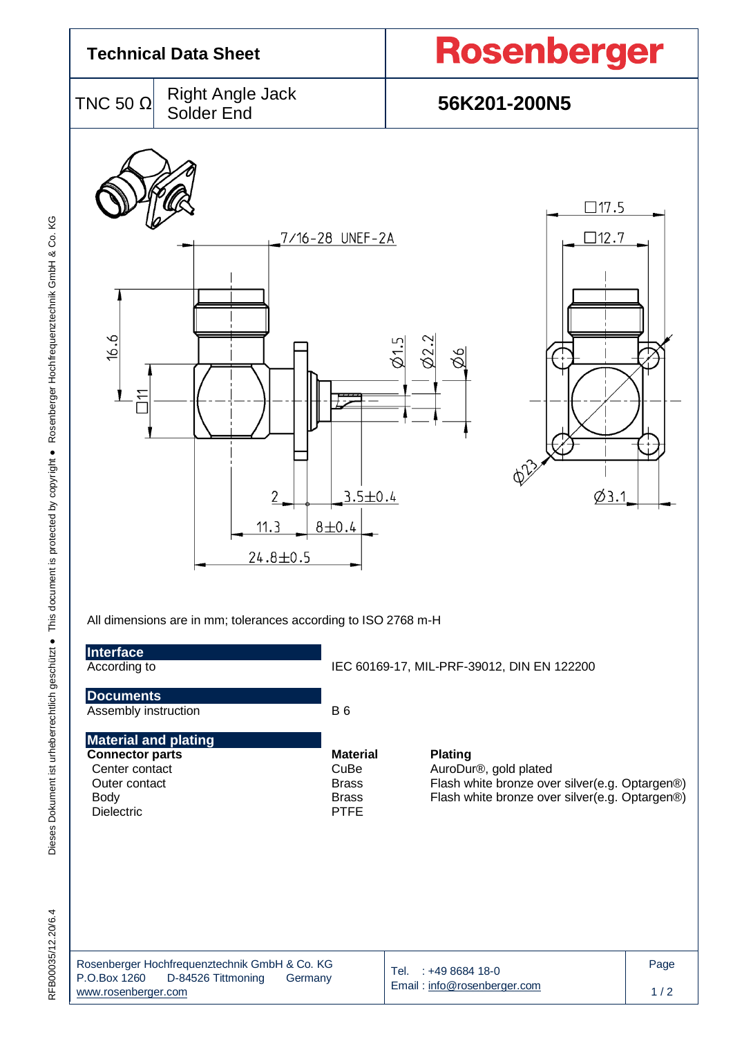